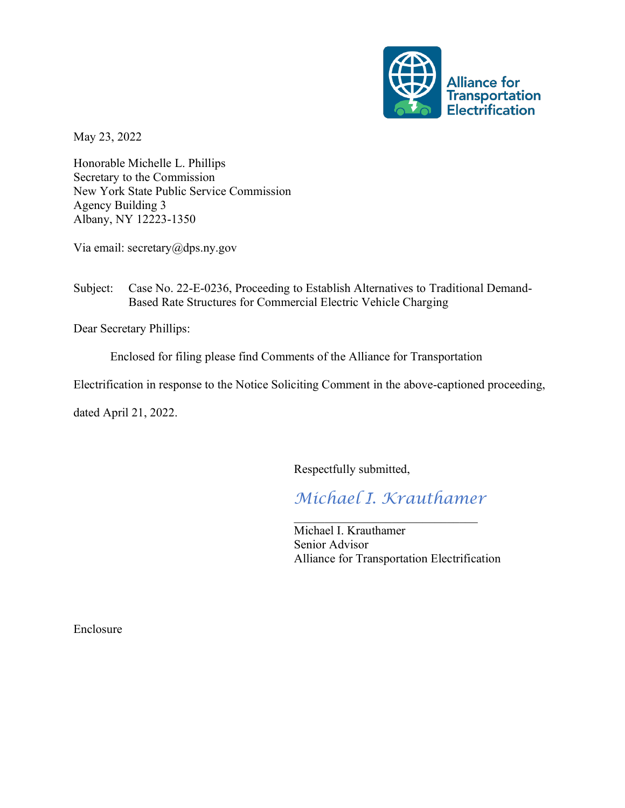

May 23, 2022

Honorable Michelle L. Phillips Secretary to the Commission New York State Public Service Commission Agency Building 3 Albany, NY 12223-1350

Via email: secretary@dps.ny.gov

## Subject: Case No. 22-E-0236, Proceeding to Establish Alternatives to Traditional Demand-Based Rate Structures for Commercial Electric Vehicle Charging

Dear Secretary Phillips:

Enclosed for filing please find Comments of the Alliance for Transportation

Electrification in response to the Notice Soliciting Comment in the above-captioned proceeding,

dated April 21, 2022.

Respectfully submitted,

*Michael I. Krauthamer*

 $\mathcal{L}_\text{max}$  , and the set of the set of the set of the set of the set of the set of the set of the set of the set of the set of the set of the set of the set of the set of the set of the set of the set of the set of the

Michael I. Krauthamer Senior Advisor Alliance for Transportation Electrification

Enclosure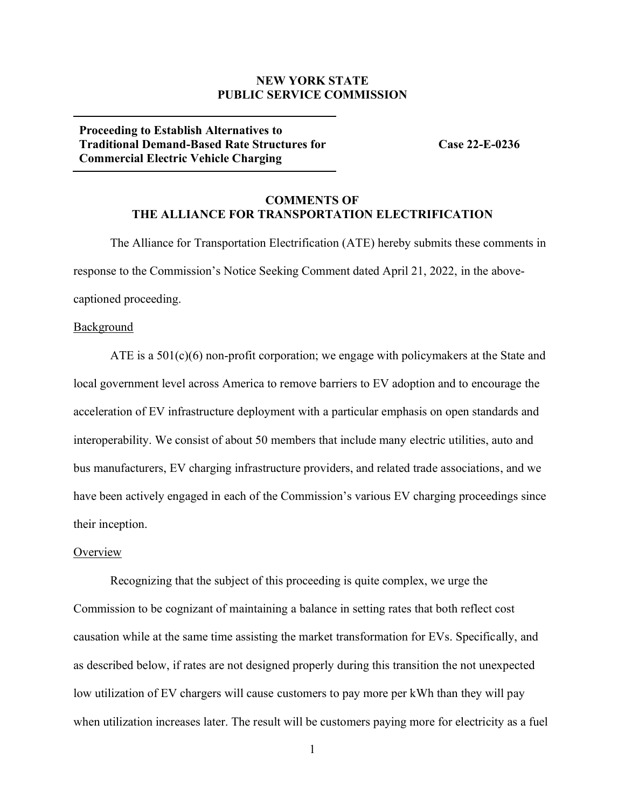### **NEW YORK STATE PUBLIC SERVICE COMMISSION**

**Proceeding to Establish Alternatives to Traditional Demand-Based Rate Structures for Commercial Electric Vehicle Charging**

**Case 22-E-0236**

### **COMMENTS OF THE ALLIANCE FOR TRANSPORTATION ELECTRIFICATION**

The Alliance for Transportation Electrification (ATE) hereby submits these comments in response to the Commission's Notice Seeking Comment dated April 21, 2022, in the abovecaptioned proceeding.

### Background

ATE is a  $501(c)(6)$  non-profit corporation; we engage with policymakers at the State and local government level across America to remove barriers to EV adoption and to encourage the acceleration of EV infrastructure deployment with a particular emphasis on open standards and interoperability. We consist of about 50 members that include many electric utilities, auto and bus manufacturers, EV charging infrastructure providers, and related trade associations, and we have been actively engaged in each of the Commission's various EV charging proceedings since their inception.

#### **Overview**

Recognizing that the subject of this proceeding is quite complex, we urge the Commission to be cognizant of maintaining a balance in setting rates that both reflect cost causation while at the same time assisting the market transformation for EVs. Specifically, and as described below, if rates are not designed properly during this transition the not unexpected low utilization of EV chargers will cause customers to pay more per kWh than they will pay when utilization increases later. The result will be customers paying more for electricity as a fuel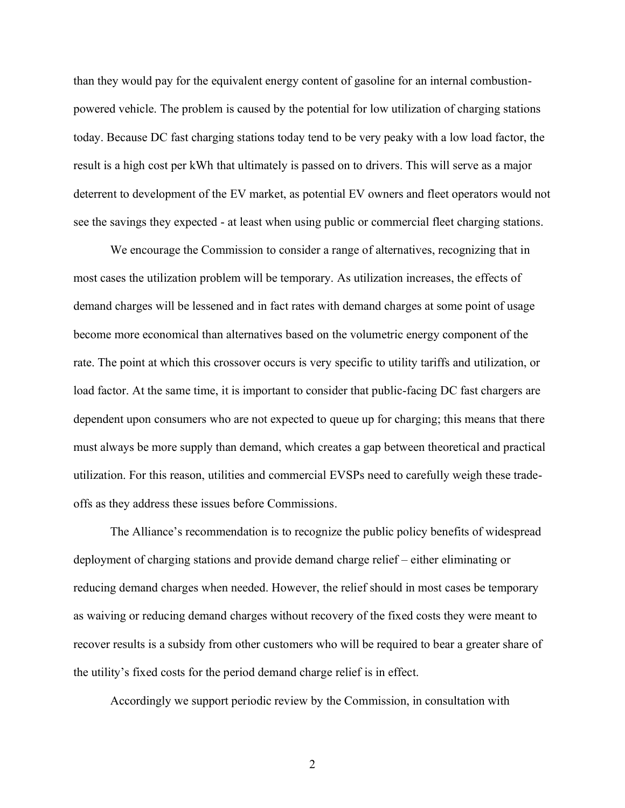than they would pay for the equivalent energy content of gasoline for an internal combustionpowered vehicle. The problem is caused by the potential for low utilization of charging stations today. Because DC fast charging stations today tend to be very peaky with a low load factor, the result is a high cost per kWh that ultimately is passed on to drivers. This will serve as a major deterrent to development of the EV market, as potential EV owners and fleet operators would not see the savings they expected - at least when using public or commercial fleet charging stations.

We encourage the Commission to consider a range of alternatives, recognizing that in most cases the utilization problem will be temporary. As utilization increases, the effects of demand charges will be lessened and in fact rates with demand charges at some point of usage become more economical than alternatives based on the volumetric energy component of the rate. The point at which this crossover occurs is very specific to utility tariffs and utilization, or load factor. At the same time, it is important to consider that public-facing DC fast chargers are dependent upon consumers who are not expected to queue up for charging; this means that there must always be more supply than demand, which creates a gap between theoretical and practical utilization. For this reason, utilities and commercial EVSPs need to carefully weigh these tradeoffs as they address these issues before Commissions.

The Alliance's recommendation is to recognize the public policy benefits of widespread deployment of charging stations and provide demand charge relief – either eliminating or reducing demand charges when needed. However, the relief should in most cases be temporary as waiving or reducing demand charges without recovery of the fixed costs they were meant to recover results is a subsidy from other customers who will be required to bear a greater share of the utility's fixed costs for the period demand charge relief is in effect.

Accordingly we support periodic review by the Commission, in consultation with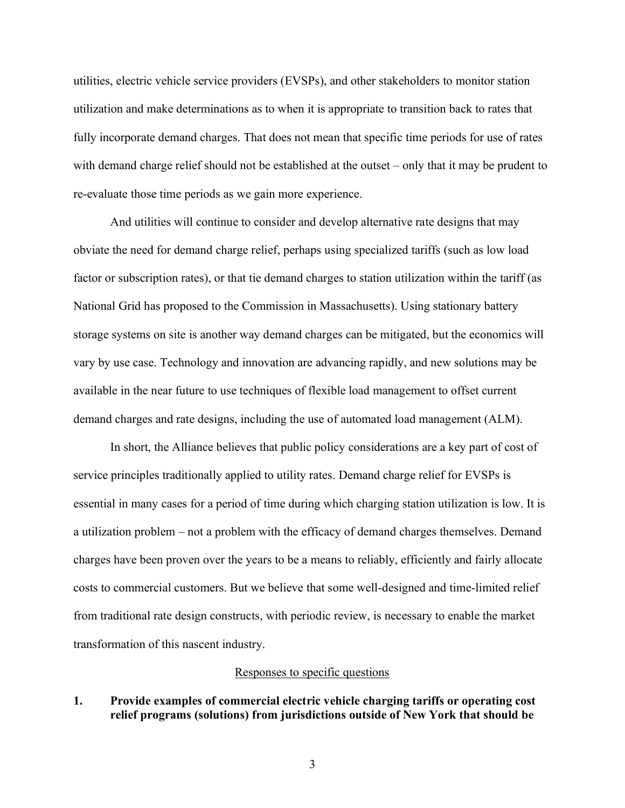utilities, electric vehicle service providers (EVSPs), and other stakeholders to monitor station utilization and make determinations as to when it is appropriate to transition back to rates that fully incorporate demand charges. That does not mean that specific time periods for use of rates with demand charge relief should not be established at the outset  $-\text{ only that it may be prudent to }$ re-evaluate those time periods as we gain more experience.

And utilities will continue to consider and develop alternative rate designs that may obviate the need for demand charge relief, perhaps using specialized tariffs (such as low load factor or subscription rates), or that tie demand charges to station utilization within the tariff (as National Grid has proposed to the Commission in Massachusetts). Using stationary battery storage systems on site is another way demand charges can be mitigated, but the economics will vary by use case. Technology and innovation are advancing rapidly, and new solutions may be available in the near future to use techniques of flexible load management to offset current demand charges and rate designs, including the use of automated load management (ALM).

In short, the Alliance believes that public policy considerations are a key part of cost of service principles traditionally applied to utility rates. Demand charge relief for EVSPs is essential in many cases for a period of time during which charging station utilization is low. It is a utilization problem – not a problem with the efficacy of demand charges themselves. Demand charges have been proven over the years to be a means to reliably, efficiently and fairly allocate costs to commercial customers. But we believe that some well-designed and time-limited relief from traditional rate design constructs, with periodic review, is necessary to enable the market transformation of this nascent industry.

### Responses to specific questions

### **1. Provide examples of commercial electric vehicle charging tariffs or operating cost relief programs (solutions) from jurisdictions outside of New York that should be**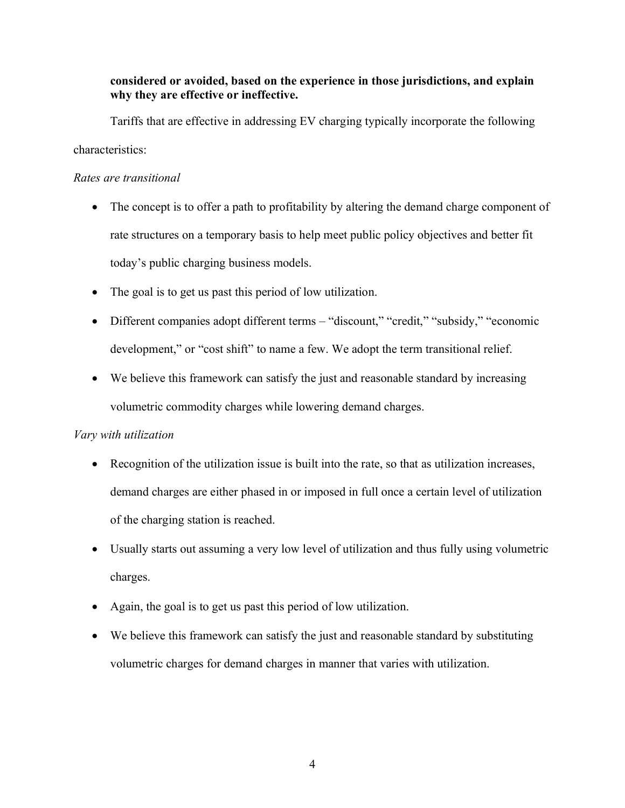## **considered or avoided, based on the experience in those jurisdictions, and explain why they are effective or ineffective.**

Tariffs that are effective in addressing EV charging typically incorporate the following characteristics:

## *Rates are transitional*

- $\bullet$  The concept is to offer a path to profitability by altering the demand charge component of rate structures on a temporary basis to help meet public policy objectives and better fit today's public charging business models.
- The goal is to get us past this period of low utilization.
- Different companies adopt different terms "discount," "credit," "subsidy," "economic development," or "cost shift" to name a few. We adopt the term transitional relief.
- $\bullet$  We believe this framework can satisfy the just and reasonable standard by increasing volumetric commodity charges while lowering demand charges.

## *Vary with utilization*

- Recognition of the utilization issue is built into the rate, so that as utilization increases, demand charges are either phased in or imposed in full once a certain level of utilization of the charging station is reached.
- Usually starts out assuming a very low level of utilization and thus fully using volumetric charges.
- $\bullet$  Again, the goal is to get us past this period of low utilization.
- We believe this framework can satisfy the just and reasonable standard by substituting volumetric charges for demand charges in manner that varies with utilization.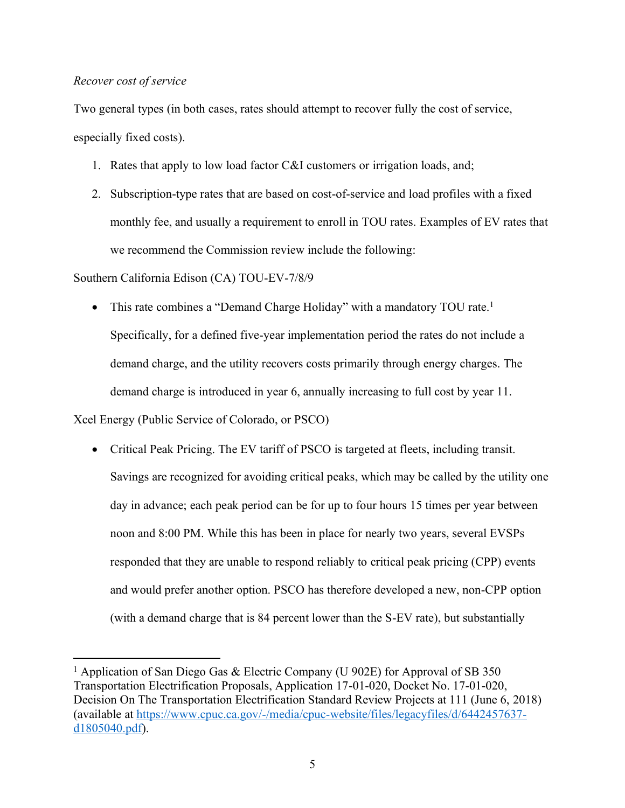## *Recover cost of service*

Two general types (in both cases, rates should attempt to recover fully the cost of service, especially fixed costs).

- 1. Rates that apply to low load factor C&I customers or irrigation loads, and;
- 2. Subscription-type rates that are based on cost-of-service and load profiles with a fixed monthly fee, and usually a requirement to enroll in TOU rates. Examples of EV rates that we recommend the Commission review include the following:

## Southern California Edison (CA) TOU-EV-7/8/9

• This rate combines a "Demand Charge Holiday" with a mandatory TOU rate.<sup>1</sup> Specifically, for a defined five-year implementation period the rates do not include a demand charge, and the utility recovers costs primarily through energy charges. The demand charge is introduced in year 6, annually increasing to full cost by year 11.

Xcel Energy (Public Service of Colorado, or PSCO)

• Critical Peak Pricing. The EV tariff of PSCO is targeted at fleets, including transit. Savings are recognized for avoiding critical peaks, which may be called by the utility one day in advance; each peak period can be for up to four hours 15 times per year between noon and 8:00 PM. While this has been in place for nearly two years, several EVSPs responded that they are unable to respond reliably to critical peak pricing (CPP) events and would prefer another option. PSCO has therefore developed a new, non-CPP option (with a demand charge that is 84 percent lower than the S-EV rate), but substantially

<sup>&</sup>lt;sup>1</sup> Application of San Diego Gas & Electric Company (U 902E) for Approval of SB 350 Transportation Electrification Proposals, Application 17-01-020, Docket No. 17-01-020, Decision On The Transportation Electrification Standard Review Projects at 111 (June 6, 2018) (available at [https://www.cpuc.ca.gov/-/media/cpuc-website/files/legacyfiles/d/6442457637](https://www.cpuc.ca.gov/-/media/cpuc-website/files/legacyfiles/d/6442457637-d1805040.pdf) [d1805040.pdf\)](https://www.cpuc.ca.gov/-/media/cpuc-website/files/legacyfiles/d/6442457637-d1805040.pdf).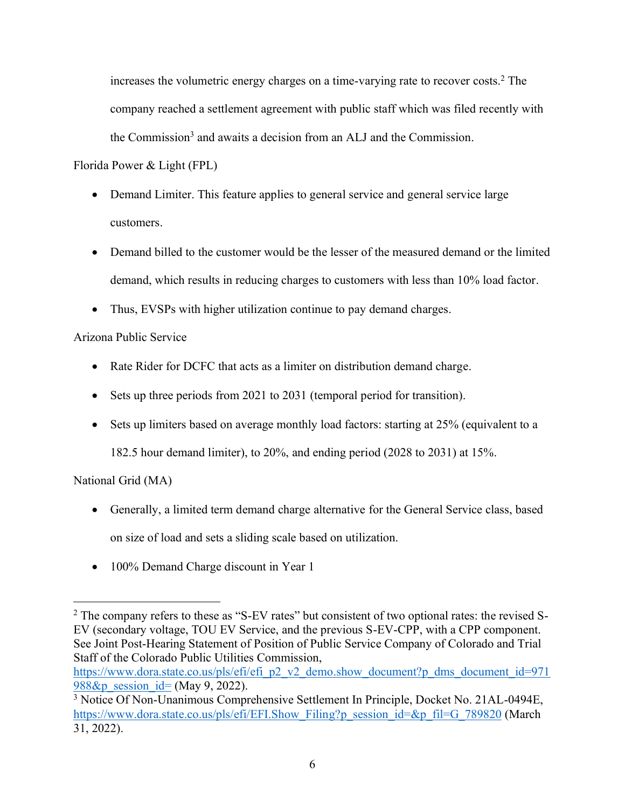increases the volumetric energy charges on a time-varying rate to recover costs. <sup>2</sup> The company reached a settlement agreement with public staff which was filed recently with the Commission<sup>3</sup> and awaits a decision from an ALJ and the Commission.

Florida Power & Light (FPL)

- Demand Limiter. This feature applies to general service and general service large customers.
- Demand billed to the customer would be the lesser of the measured demand or the limited demand, which results in reducing charges to customers with less than 10% load factor.
- Thus, EVSPs with higher utilization continue to pay demand charges.

# Arizona Public Service

- Rate Rider for DCFC that acts as a limiter on distribution demand charge.
- Sets up three periods from 2021 to 2031 (temporal period for transition).
- $\bullet$  Sets up limiters based on average monthly load factors: starting at 25% (equivalent to a

182.5 hour demand limiter), to 20%, and ending period (2028 to 2031) at 15%.

National Grid (MA)

- Generally, a limited term demand charge alternative for the General Service class, based on size of load and sets a sliding scale based on utilization.
- 100% Demand Charge discount in Year 1

<sup>&</sup>lt;sup>2</sup> The company refers to these as "S-EV rates" but consistent of two optional rates: the revised S-EV (secondary voltage, TOU EV Service, and the previous S-EV-CPP, with a CPP component. See Joint Post-Hearing Statement of Position of Public Service Company of Colorado and Trial Staff of the Colorado Public Utilities Commission,

[https://www.dora.state.co.us/pls/efi/efi\\_p2\\_v2\\_demo.show\\_document?p\\_dms\\_document\\_id=971](https://www.dora.state.co.us/pls/efi/efi_p2_v2_demo.show_document?p_dms_document_id=971988&p_session_id=) 988 $&$ p session id= (May 9, 2022).

<sup>&</sup>lt;sup>3</sup> Notice Of Non-Unanimous Comprehensive Settlement In Principle, Docket No. 21AL-0494E, [https://www.dora.state.co.us/pls/efi/EFI.Show\\_Filing?p\\_session\\_id=&p\\_fil=G\\_789820](https://www.dora.state.co.us/pls/efi/EFI.Show_Filing?p_session_id=&p_fil=G_789820) (March 31, 2022).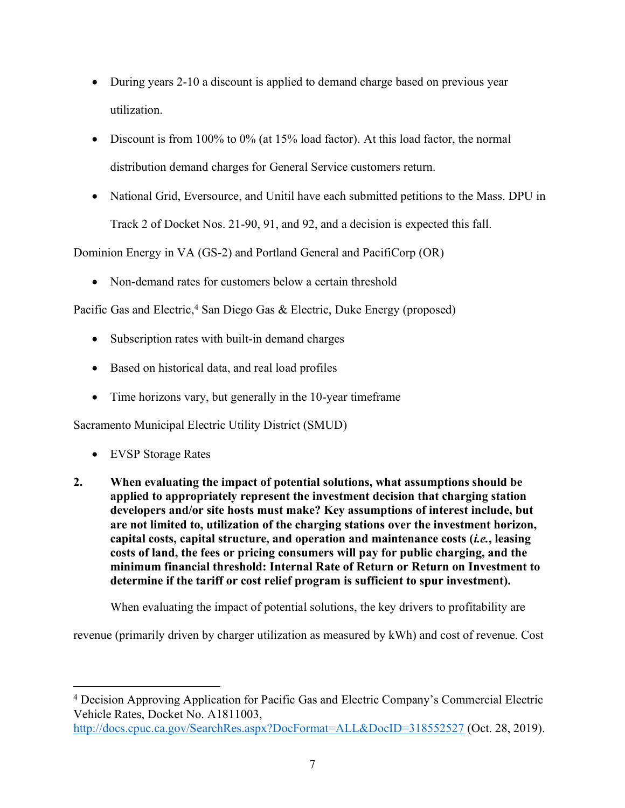- During years 2-10 a discount is applied to demand charge based on previous year utilization.
- Discount is from 100% to 0% (at 15% load factor). At this load factor, the normal distribution demand charges for General Service customers return.
- National Grid, Eversource, and Unitil have each submitted petitions to the Mass. DPU in Track 2 of Docket Nos. 21-90, 91, and 92, and a decision is expected this fall.

Dominion Energy in VA (GS-2) and Portland General and PacifiCorp (OR)

• Non-demand rates for customers below a certain threshold

Pacific Gas and Electric,<sup>4</sup> San Diego Gas & Electric, Duke Energy (proposed)

- Subscription rates with built-in demand charges
- Based on historical data, and real load profiles
- $\bullet$  Time horizons vary, but generally in the 10-year timeframe

Sacramento Municipal Electric Utility District (SMUD)

- EVSP Storage Rates
- **2. When evaluating the impact of potential solutions, what assumptions should be applied to appropriately represent the investment decision that charging station developers and/or site hosts must make? Key assumptions of interest include, but are not limited to, utilization of the charging stations over the investment horizon, capital costs, capital structure, and operation and maintenance costs (***i.e.***, leasing costs of land, the fees or pricing consumers will pay for public charging, and the minimum financial threshold: Internal Rate of Return or Return on Investment to determine if the tariff or cost relief program is sufficient to spur investment).**

When evaluating the impact of potential solutions, the key drivers to profitability are

revenue (primarily driven by charger utilization as measured by kWh) and cost of revenue. Cost

<sup>&</sup>lt;sup>4</sup> Decision Approving Application for Pacific Gas and Electric Company's Commercial Electric Vehicle Rates, Docket No. A1811003,

<http://docs.cpuc.ca.gov/SearchRes.aspx?DocFormat=ALL&DocID=318552527> (Oct. 28, 2019).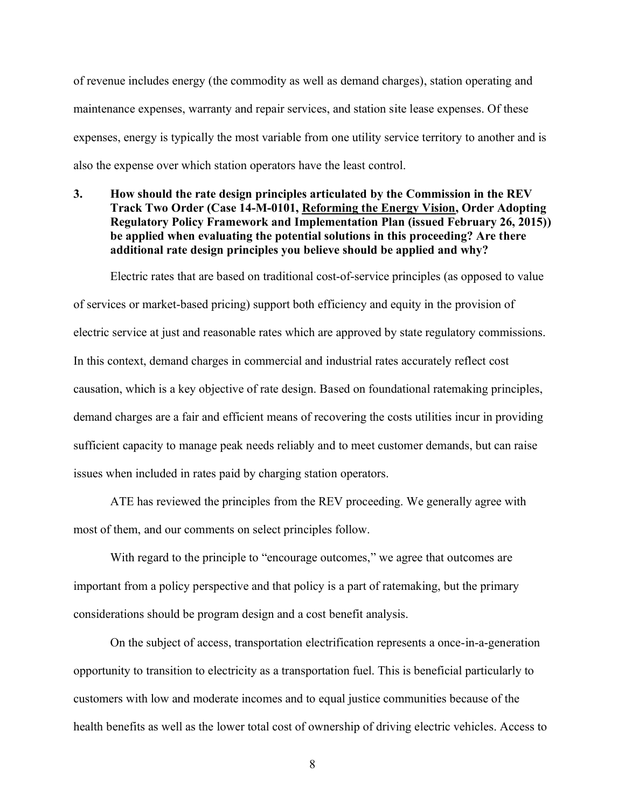of revenue includes energy (the commodity as well as demand charges), station operating and maintenance expenses, warranty and repair services, and station site lease expenses. Of these expenses, energy is typically the most variable from one utility service territory to another and is also the expense over which station operators have the least control.

**3. How should the rate design principles articulated by the Commission in the REV Track Two Order (Case 14-M-0101, Reforming the Energy Vision, Order Adopting Regulatory Policy Framework and Implementation Plan (issued February 26, 2015)) be applied when evaluating the potential solutions in this proceeding? Are there additional rate design principles you believe should be applied and why?**

Electric rates that are based on traditional cost-of-service principles (as opposed to value of services or market-based pricing) support both efficiency and equity in the provision of electric service at just and reasonable rates which are approved by state regulatory commissions. In this context, demand charges in commercial and industrial rates accurately reflect cost causation, which is a key objective of rate design. Based on foundational ratemaking principles, demand charges are a fair and efficient means of recovering the costs utilities incur in providing sufficient capacity to manage peak needs reliably and to meet customer demands, but can raise issues when included in rates paid by charging station operators.

ATE has reviewed the principles from the REV proceeding. We generally agree with most of them, and our comments on select principles follow.

With regard to the principle to "encourage outcomes," we agree that outcomes are important from a policy perspective and that policy is a part of ratemaking, but the primary considerations should be program design and a cost benefit analysis.

On the subject of access, transportation electrification represents a once-in-a-generation opportunity to transition to electricity as a transportation fuel. This is beneficial particularly to customers with low and moderate incomes and to equal justice communities because of the health benefits as well as the lower total cost of ownership of driving electric vehicles. Access to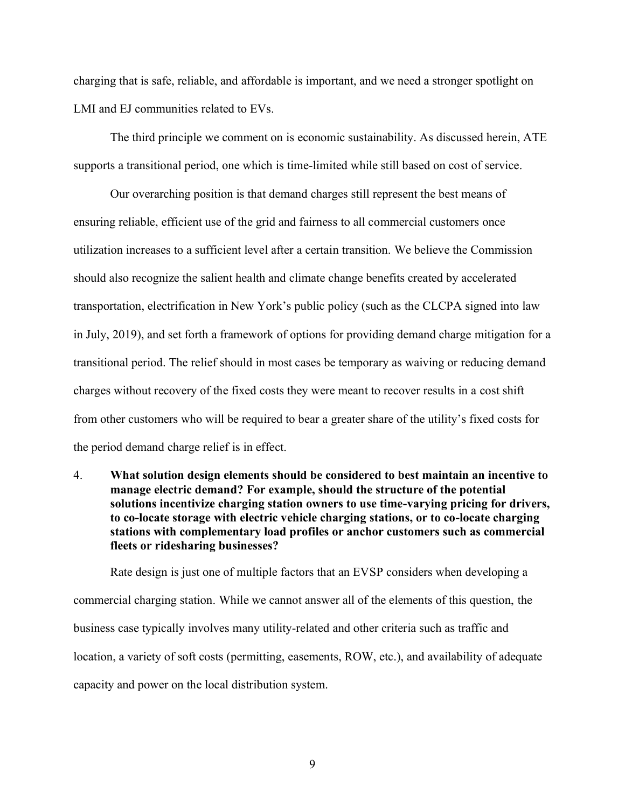charging that is safe, reliable, and affordable is important, and we need a stronger spotlight on LMI and EJ communities related to EVs.

The third principle we comment on is economic sustainability. As discussed herein, ATE supports a transitional period, one which is time-limited while still based on cost of service.

Our overarching position is that demand charges still represent the best means of ensuring reliable, efficient use of the grid and fairness to all commercial customers once utilization increases to a sufficient level after a certain transition. We believe the Commission should also recognize the salient health and climate change benefits created by accelerated transportation, electrification in New York's public policy (such as the CLCPA signed into law in July, 2019), and set forth a framework of options for providing demand charge mitigation for a transitional period. The relief should in most cases be temporary as waiving or reducing demand charges without recovery of the fixed costs they were meant to recover results in a cost shift from other customers who will be required to bear a greater share of the utility's fixed costs for the period demand charge relief is in effect.

4. **What solution design elements should be considered to best maintain an incentive to manage electric demand? For example, should the structure of the potential solutions incentivize charging station owners to use time-varying pricing for drivers, to co-locate storage with electric vehicle charging stations, or to co-locate charging stations with complementary load profiles or anchor customers such as commercial fleets or ridesharing businesses?**

Rate design is just one of multiple factors that an EVSP considers when developing a commercial charging station. While we cannot answer all of the elements of this question, the business case typically involves many utility-related and other criteria such as traffic and location, a variety of soft costs (permitting, easements, ROW, etc.), and availability of adequate capacity and power on the local distribution system.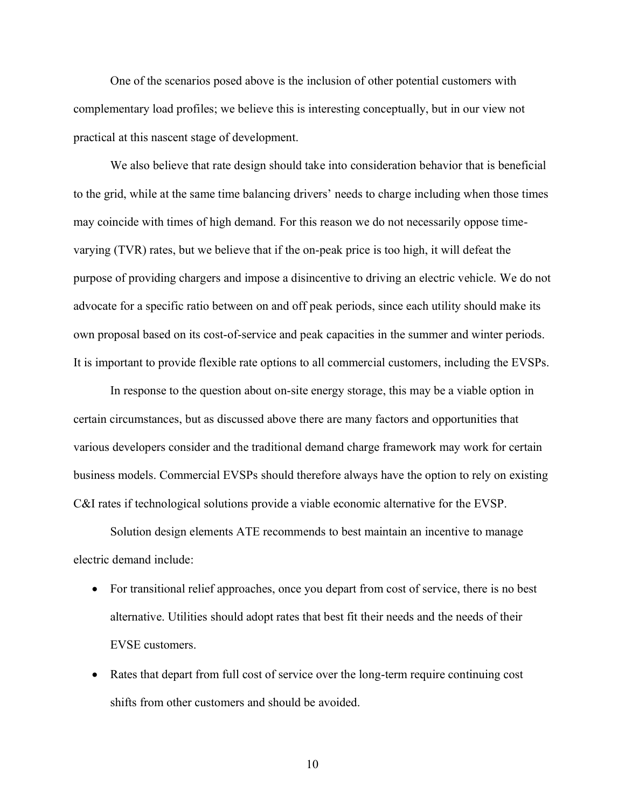One of the scenarios posed above is the inclusion of other potential customers with complementary load profiles; we believe this is interesting conceptually, but in our view not practical at this nascent stage of development.

We also believe that rate design should take into consideration behavior that is beneficial to the grid, while at the same time balancing drivers' needs to charge including when those times may coincide with times of high demand. For this reason we do not necessarily oppose timevarying (TVR) rates, but we believe that if the on-peak price is too high, it will defeat the purpose of providing chargers and impose a disincentive to driving an electric vehicle. We do not advocate for a specific ratio between on and off peak periods, since each utility should make its own proposal based on its cost-of-service and peak capacities in the summer and winter periods. It is important to provide flexible rate options to all commercial customers, including the EVSPs.

In response to the question about on-site energy storage, this may be a viable option in certain circumstances, but as discussed above there are many factors and opportunities that various developers consider and the traditional demand charge framework may work for certain business models. Commercial EVSPs should therefore always have the option to rely on existing C&I rates if technological solutions provide a viable economic alternative for the EVSP.

Solution design elements ATE recommends to best maintain an incentive to manage electric demand include:

- For transitional relief approaches, once you depart from cost of service, there is no best alternative. Utilities should adopt rates that best fit their needs and the needs of their EVSE customers.
- Rates that depart from full cost of service over the long-term require continuing cost shifts from other customers and should be avoided.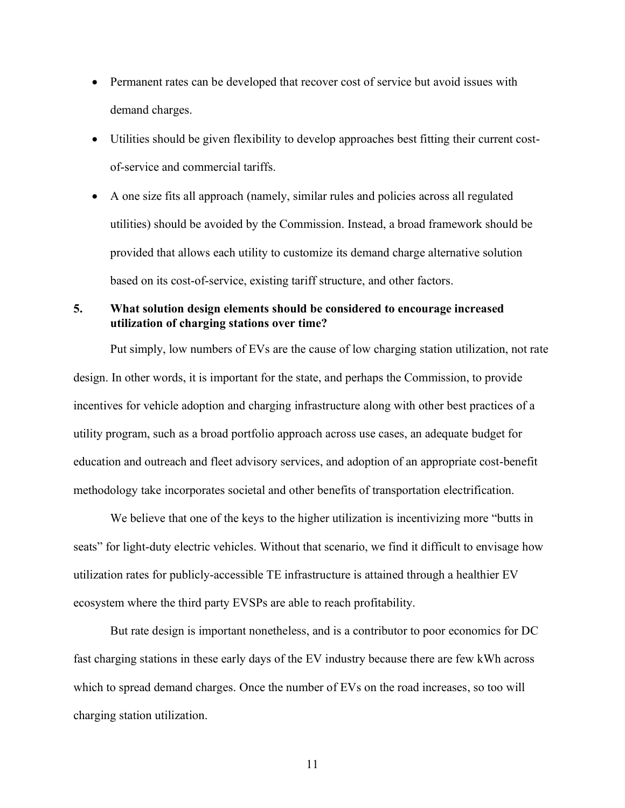- Permanent rates can be developed that recover cost of service but avoid issues with demand charges.
- Utilities should be given flexibility to develop approaches best fitting their current costof-service and commercial tariffs.
- x A one size fits all approach (namely, similar rules and policies across all regulated utilities) should be avoided by the Commission. Instead, a broad framework should be provided that allows each utility to customize its demand charge alternative solution based on its cost-of-service, existing tariff structure, and other factors.

## **5. What solution design elements should be considered to encourage increased utilization of charging stations over time?**

Put simply, low numbers of EVs are the cause of low charging station utilization, not rate design. In other words, it is important for the state, and perhaps the Commission, to provide incentives for vehicle adoption and charging infrastructure along with other best practices of a utility program, such as a broad portfolio approach across use cases, an adequate budget for education and outreach and fleet advisory services, and adoption of an appropriate cost-benefit methodology take incorporates societal and other benefits of transportation electrification.

We believe that one of the keys to the higher utilization is incentivizing more "butts in seats" for light-duty electric vehicles. Without that scenario, we find it difficult to envisage how utilization rates for publicly-accessible TE infrastructure is attained through a healthier EV ecosystem where the third party EVSPs are able to reach profitability.

But rate design is important nonetheless, and is a contributor to poor economics for DC fast charging stations in these early days of the EV industry because there are few kWh across which to spread demand charges. Once the number of EVs on the road increases, so too will charging station utilization.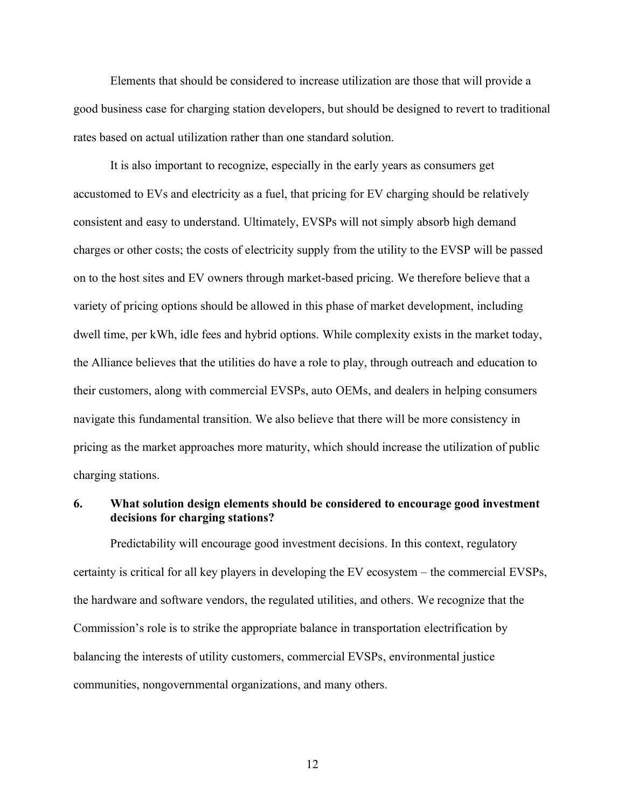Elements that should be considered to increase utilization are those that will provide a good business case for charging station developers, but should be designed to revert to traditional rates based on actual utilization rather than one standard solution.

It is also important to recognize, especially in the early years as consumers get accustomed to EVs and electricity as a fuel, that pricing for EV charging should be relatively consistent and easy to understand. Ultimately, EVSPs will not simply absorb high demand charges or other costs; the costs of electricity supply from the utility to the EVSP will be passed on to the host sites and EV owners through market-based pricing. We therefore believe that a variety of pricing options should be allowed in this phase of market development, including dwell time, per kWh, idle fees and hybrid options. While complexity exists in the market today, the Alliance believes that the utilities do have a role to play, through outreach and education to their customers, along with commercial EVSPs, auto OEMs, and dealers in helping consumers navigate this fundamental transition. We also believe that there will be more consistency in pricing as the market approaches more maturity, which should increase the utilization of public charging stations.

### **6. What solution design elements should be considered to encourage good investment decisions for charging stations?**

Predictability will encourage good investment decisions. In this context, regulatory certainty is critical for all key players in developing the EV ecosystem  $-$  the commercial EVSPs, the hardware and software vendors, the regulated utilities, and others. We recognize that the Commission's role is to strike the appropriate balance in transportation electrification by balancing the interests of utility customers, commercial EVSPs, environmental justice communities, nongovernmental organizations, and many others.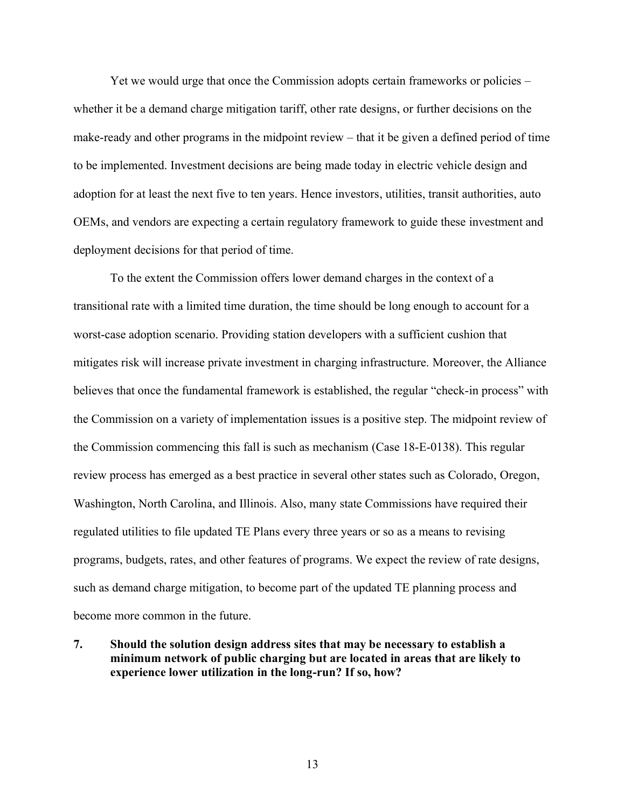Yet we would urge that once the Commission adopts certain frameworks or policies  $$ whether it be a demand charge mitigation tariff, other rate designs, or further decisions on the make-ready and other programs in the midpoint review  $-$  that it be given a defined period of time to be implemented. Investment decisions are being made today in electric vehicle design and adoption for at least the next five to ten years. Hence investors, utilities, transit authorities, auto OEMs, and vendors are expecting a certain regulatory framework to guide these investment and deployment decisions for that period of time.

To the extent the Commission offers lower demand charges in the context of a transitional rate with a limited time duration, the time should be long enough to account for a worst-case adoption scenario. Providing station developers with a sufficient cushion that mitigates risk will increase private investment in charging infrastructure. Moreover, the Alliance believes that once the fundamental framework is established, the regular "check-in process" with the Commission on a variety of implementation issues is a positive step. The midpoint review of the Commission commencing this fall is such as mechanism (Case 18-E-0138). This regular review process has emerged as a best practice in several other states such as Colorado, Oregon, Washington, North Carolina, and Illinois. Also, many state Commissions have required their regulated utilities to file updated TE Plans every three years or so as a means to revising programs, budgets, rates, and other features of programs. We expect the review of rate designs, such as demand charge mitigation, to become part of the updated TE planning process and become more common in the future.

**7. Should the solution design address sites that may be necessary to establish a minimum network of public charging but are located in areas that are likely to experience lower utilization in the long-run? If so, how?**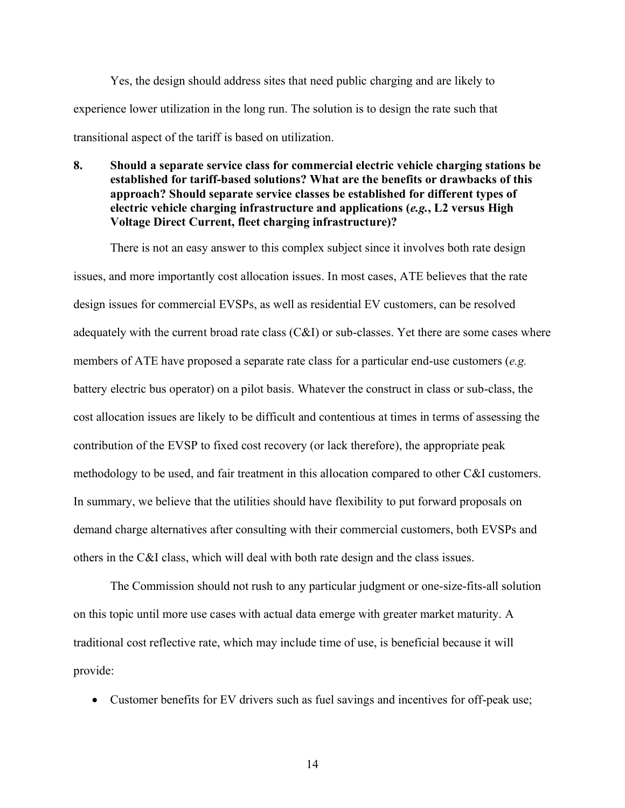Yes, the design should address sites that need public charging and are likely to experience lower utilization in the long run. The solution is to design the rate such that transitional aspect of the tariff is based on utilization.

**8. Should a separate service class for commercial electric vehicle charging stations be established for tariff-based solutions? What are the benefits or drawbacks of this approach? Should separate service classes be established for different types of electric vehicle charging infrastructure and applications (***e.g.***, L2 versus High Voltage Direct Current, fleet charging infrastructure)?**

There is not an easy answer to this complex subject since it involves both rate design issues, and more importantly cost allocation issues. In most cases, ATE believes that the rate design issues for commercial EVSPs, as well as residential EV customers, can be resolved adequately with the current broad rate class (C&I) or sub-classes. Yet there are some cases where members of ATE have proposed a separate rate class for a particular end-use customers (*e.g.* battery electric bus operator) on a pilot basis. Whatever the construct in class or sub-class, the cost allocation issues are likely to be difficult and contentious at times in terms of assessing the contribution of the EVSP to fixed cost recovery (or lack therefore), the appropriate peak methodology to be used, and fair treatment in this allocation compared to other C&I customers. In summary, we believe that the utilities should have flexibility to put forward proposals on demand charge alternatives after consulting with their commercial customers, both EVSPs and others in the C&I class, which will deal with both rate design and the class issues.

The Commission should not rush to any particular judgment or one-size-fits-all solution on this topic until more use cases with actual data emerge with greater market maturity. A traditional cost reflective rate, which may include time of use, is beneficial because it will provide:

• Customer benefits for EV drivers such as fuel savings and incentives for off-peak use;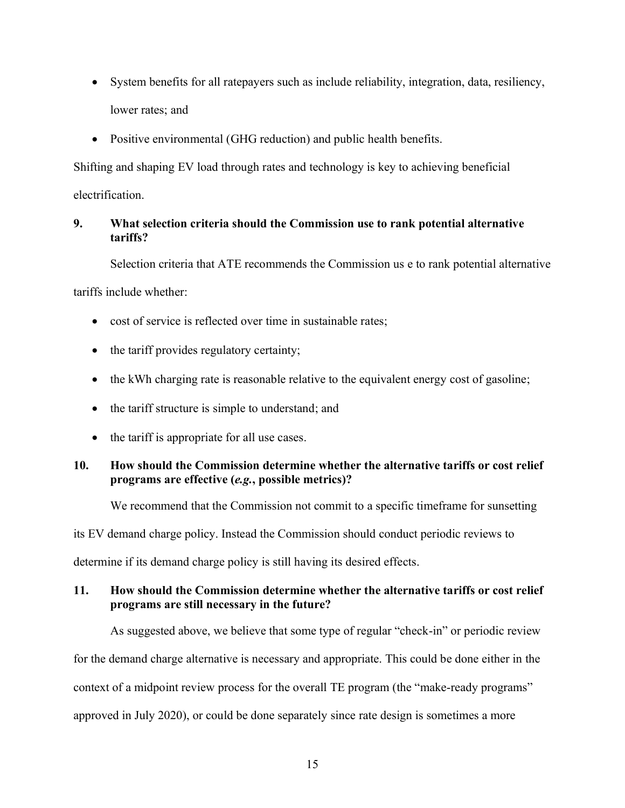- System benefits for all ratepayers such as include reliability, integration, data, resiliency, lower rates; and
- Positive environmental (GHG reduction) and public health benefits.

Shifting and shaping EV load through rates and technology is key to achieving beneficial electrification.

# **9. What selection criteria should the Commission use to rank potential alternative tariffs?**

Selection criteria that ATE recommends the Commission us e to rank potential alternative

tariffs include whether:

- cost of service is reflected over time in sustainable rates;
- $\bullet$  the tariff provides regulatory certainty;
- $\bullet$  the kWh charging rate is reasonable relative to the equivalent energy cost of gasoline;
- the tariff structure is simple to understand; and
- $\bullet$  the tariff is appropriate for all use cases.

## **10. How should the Commission determine whether the alternative tariffs or cost relief programs are effective (***e.g.***, possible metrics)?**

We recommend that the Commission not commit to a specific timeframe for sunsetting

its EV demand charge policy. Instead the Commission should conduct periodic reviews to

determine if its demand charge policy is still having its desired effects.

## **11. How should the Commission determine whether the alternative tariffs or cost relief programs are still necessary in the future?**

As suggested above, we believe that some type of regular "check-in" or periodic review for the demand charge alternative is necessary and appropriate. This could be done either in the

context of a midpoint review process for the overall TE program (the "make-ready programs"

approved in July 2020), or could be done separately since rate design is sometimes a more